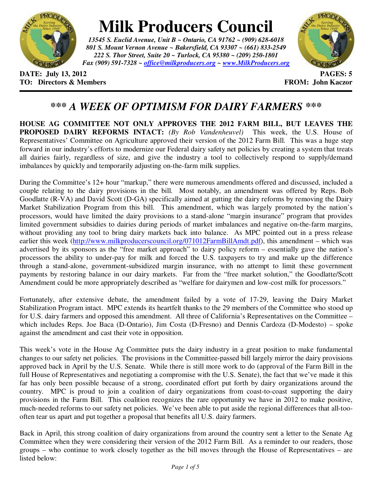

## **Milk Producers Council**

*13545 S. Euclid Avenue, Unit B ~ Ontario, CA 91762 ~ (909) 628-6018 801 S. Mount Vernon Avenue ~ Bakersfield, CA 93307 ~ (661) 833-2549 222 S. Thor Street, Suite 20 ~ Turlock, CA 95380 ~ (209) 250-1801 Fax (909) 591-7328 ~ office@milkproducers.org ~ www.MilkProducers.org*



**DATE: July 13, 2012 PAGES: 5 TO: Directors & Members EXALLECTION: Solution FROM: John Kaczor** 

## *\*\*\* A WEEK OF OPTIMISM FOR DAIRY FARMERS \*\*\**

**HOUSE AG COMMITTEE NOT ONLY APPROVES THE 2012 FARM BILL, BUT LEAVES THE PROPOSED DAIRY REFORMS INTACT:** *(By Rob Vandenheuvel)* This week, the U.S. House of Representatives' Committee on Agriculture approved their version of the 2012 Farm Bill. This was a huge step forward in our industry's efforts to modernize our Federal dairy safety net policies by creating a system that treats all dairies fairly, regardless of size, and give the industry a tool to collectively respond to supply/demand imbalances by quickly and temporarily adjusting on-the-farm milk supplies.

During the Committee's 12+ hour "markup," there were numerous amendments offered and discussed, included a couple relating to the dairy provisions in the bill. Most notably, an amendment was offered by Reps. Bob Goodlatte (R-VA) and David Scott (D-GA) specifically aimed at gutting the dairy reforms by removing the Dairy Market Stabilization Program from this bill. This amendment, which was largely promoted by the nation's processors, would have limited the dairy provisions to a stand-alone "margin insurance" program that provides limited government subsidies to dairies during periods of market imbalances and negative on-the-farm margins, without providing any tool to bring dairy markets back into balance. As MPC pointed out in a press release earlier this week (http://www.milkproducerscouncil.org/071012FarmBillAmdt.pdf), this amendment – which was advertised by its sponsors as the "free market approach" to dairy policy reform – essentially gave the nation's processors the ability to under-pay for milk and forced the U.S. taxpayers to try and make up the difference through a stand-alone, government-subsidized margin insurance, with no attempt to limit these government payments by restoring balance in our dairy markets. Far from the "free market solution," the Goodlatte/Scott Amendment could be more appropriately described as "welfare for dairymen and low-cost milk for processors."

Fortunately, after extensive debate, the amendment failed by a vote of 17-29, leaving the Dairy Market Stabilization Program intact. MPC extends its heartfelt thanks to the 29 members of the Committee who stood up for U.S. dairy farmers and opposed this amendment. All three of California's Representatives on the Committee – which includes Reps. Joe Baca (D-Ontario), Jim Costa (D-Fresno) and Dennis Cardoza (D-Modesto) – spoke against the amendment and cast their vote in opposition.

This week's vote in the House Ag Committee puts the dairy industry in a great position to make fundamental changes to our safety net policies. The provisions in the Committee-passed bill largely mirror the dairy provisions approved back in April by the U.S. Senate. While there is still more work to do (approval of the Farm Bill in the full House of Representatives and negotiating a compromise with the U.S. Senate), the fact that we've made it this far has only been possible because of a strong, coordinated effort put forth by dairy organizations around the country. MPC is proud to join a coalition of dairy organizations from coast-to-coast supporting the dairy provisions in the Farm Bill. This coalition recognizes the rare opportunity we have in 2012 to make positive, much-needed reforms to our safety net policies. We've been able to put aside the regional differences that all-toooften tear us apart and put together a proposal that benefits all U.S. dairy farmers.

Back in April, this strong coalition of dairy organizations from around the country sent a letter to the Senate Ag Committee when they were considering their version of the 2012 Farm Bill. As a reminder to our readers, those groups – who continue to work closely together as the bill moves through the House of Representatives – are listed below: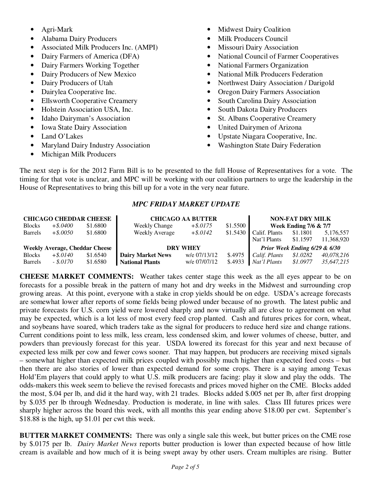- Agri-Mark
- Alabama Dairy Producers
- Associated Milk Producers Inc. (AMPI)
- Dairy Farmers of America (DFA)
- Dairy Farmers Working Together
- Dairy Producers of New Mexico
- Dairy Producers of Utah
- Dairylea Cooperative Inc.
- Ellsworth Cooperative Creamery
- Holstein Association USA, Inc.
- Idaho Dairyman's Association
- Iowa State Dairy Association
- Land O'Lakes
- Maryland Dairy Industry Association
- Michigan Milk Producers
- Midwest Dairy Coalition
- Milk Producers Council
- Missouri Dairy Association
- National Council of Farmer Cooperatives
- National Farmers Organization
- National Milk Producers Federation
- Northwest Dairy Association / Darigold
- Oregon Dairy Farmers Association
- South Carolina Dairy Association
- South Dakota Dairy Producers
- St. Albans Cooperative Creamery
- United Dairymen of Arizona
- Upstate Niagara Cooperative, Inc.
- Washington State Dairy Federation

The next step is for the 2012 Farm Bill is to be presented to the full House of Representatives for a vote. The timing for that vote is unclear, and MPC will be working with our coalition partners to urge the leadership in the House of Representatives to bring this bill up for a vote in the very near future.

## *MPC FRIDAY MARKET UPDATE*

| <b>CHICAGO CHEDDAR CHEESE</b>         |             |          | <b>CHICAGO AA BUTTER</b> | <b>NON-FAT DRY MILK</b> |          |                                  |          |            |
|---------------------------------------|-------------|----------|--------------------------|-------------------------|----------|----------------------------------|----------|------------|
| <b>Blocks</b>                         | $+$ \$.0400 | \$1.6800 | <b>Weekly Change</b>     | $+$ \$.0175             | \$1.5500 | <b>Week Ending 7/6 &amp; 7/7</b> |          |            |
| <b>Barrels</b>                        | $+$ \$.0050 | \$1.6800 | <b>Weekly Average</b>    | $+$ \$.0142             | \$1.5430 | Calif. Plants                    | \$1.1801 | 5,176,557  |
|                                       |             |          |                          |                         |          | Nat'l Plants                     | \$1.1597 | 11,368,920 |
| <b>Weekly Average, Cheddar Cheese</b> |             |          | <b>DRY WHEY</b>          |                         |          | Prior Week Ending 6/29 & 6/30    |          |            |
| <b>Blocks</b>                         | $+$ \$.0140 | \$1.6540 | <b>Dairy Market News</b> | w/e 07/13/12            | \$.4975  | Calif. Plants                    | \$1.0282 | 40,078,216 |
| Barrels                               | $-.8.0170$  | \$1.6580 | <b>National Plants</b>   | w/e 07/07/12            | \$.4933  | Nat'l Plants                     | \$1.0977 | 35.647.215 |

**CHEESE MARKET COMMENTS:** Weather takes center stage this week as the all eyes appear to be on forecasts for a possible break in the pattern of many hot and dry weeks in the Midwest and surrounding crop growing areas. At this point, everyone with a stake in crop yields should be on edge. USDA's acreage forecasts are somewhat lower after reports of some fields being plowed under because of no growth. The latest public and private forecasts for U.S. corn yield were lowered sharply and now virtually all are close to agreement on what may be expected, which is a lot less of most every feed crop planted. Cash and futures prices for corn, wheat, and soybeans have soared, which traders take as the signal for producers to reduce herd size and change rations. Current conditions point to less milk, less cream, less condensed skim, and lower volumes of cheese, butter, and powders than previously forecast for this year. USDA lowered its forecast for this year and next because of expected less milk per cow and fewer cows sooner. That may happen, but producers are receiving mixed signals – somewhat higher than expected milk prices coupled with possibly much higher than expected feed costs – but then there are also stories of lower than expected demand for some crops. There is a saying among Texas Hold'Em players that could apply to what U.S. milk producers are facing: play it slow and play the odds. The odds-makers this week seem to believe the revised forecasts and prices moved higher on the CME. Blocks added the most, \$.04 per lb, and did it the hard way, with 21 trades. Blocks added \$.005 net per lb, after first dropping by \$.035 per lb through Wednesday. Production is moderate, in line with sales. Class III futures prices were sharply higher across the board this week, with all months this year ending above \$18.00 per cwt. September's \$18.88 is the high, up \$1.01 per cwt this week.

**BUTTER MARKET COMMENTS:** There was only a single sale this week, but butter prices on the CME rose by \$.0175 per lb. *Dairy Market News* reports butter production is lower than expected because of how little cream is available and how much of it is being swept away by other users. Cream multiples are rising. Butter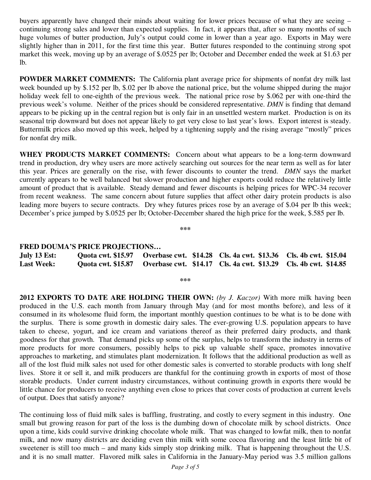buyers apparently have changed their minds about waiting for lower prices because of what they are seeing – continuing strong sales and lower than expected supplies. In fact, it appears that, after so many months of such huge volumes of butter production, July's output could come in lower than a year ago. Exports in May were slightly higher than in 2011, for the first time this year. Butter futures responded to the continuing strong spot market this week, moving up by an average of \$.0525 per lb; October and December ended the week at \$1.63 per lb.

**POWDER MARKET COMMENTS:** The California plant average price for shipments of nonfat dry milk last week bounded up by \$.152 per lb, \$.02 per lb above the national price, but the volume shipped during the major holiday week fell to one-eighth of the previous week. The national price rose by \$.062 per with one-third the previous week's volume. Neither of the prices should be considered representative. *DMN* is finding that demand appears to be picking up in the central region but is only fair in an unsettled western market. Production is on its seasonal trip downward but does not appear likely to get very close to last year's lows. Export interest is steady. Buttermilk prices also moved up this week, helped by a tightening supply and the rising average "mostly" prices for nonfat dry milk.

WHEY PRODUCTS MARKET COMMENTS: Concern about what appears to be a long-term downward trend in production, dry whey users are more actively searching out sources for the near term as well as for later this year. Prices are generally on the rise, with fewer discounts to counter the trend. *DMN* says the market currently appears to be well balanced but slower production and higher exports could reduce the relatively little amount of product that is available. Steady demand and fewer discounts is helping prices for WPC-34 recover from recent weakness. The same concern about future supplies that affect other dairy protein products is also leading more buyers to secure contracts. Dry whey futures prices rose by an average of \$.04 per lb this week; December's price jumped by \$.0525 per lb; October-December shared the high price for the week, \$.585 per lb.

**\*\*\*** 

## **FRED DOUMA'S PRICE PROJECTIONS…**

| July 13 Est:      |  | Quota cwt. \$15.97 Overbase cwt. \$14.28 Cls. 4a cwt. \$13.36 Cls. 4b cwt. \$15.04 |  |
|-------------------|--|------------------------------------------------------------------------------------|--|
| <b>Last Week:</b> |  | Quota cwt. \$15.87 Overbase cwt. \$14.17 Cls. 4a cwt. \$13.29 Cls. 4b cwt. \$14.85 |  |

**\*\*\*** 

**2012 EXPORTS TO DATE ARE HOLDING THEIR OWN:** *(by J. Kaczor)* With more milk having been produced in the U.S. each month from January through May (and for most months before), and less of it consumed in its wholesome fluid form, the important monthly question continues to be what is to be done with the surplus. There is some growth in domestic dairy sales. The ever-growing U.S. population appears to have taken to cheese, yogurt, and ice cream and variations thereof as their preferred dairy products, and thank goodness for that growth. That demand picks up some of the surplus, helps to transform the industry in terms of more products for more consumers, possibly helps to pick up valuable shelf space, promotes innovative approaches to marketing, and stimulates plant modernization. It follows that the additional production as well as all of the lost fluid milk sales not used for other domestic sales is converted to storable products with long shelf lives. Store it or sell it, and milk producers are thankful for the continuing growth in exports of most of those storable products. Under current industry circumstances, without continuing growth in exports there would be little chance for producers to receive anything even close to prices that cover costs of production at current levels of output. Does that satisfy anyone?

The continuing loss of fluid milk sales is baffling, frustrating, and costly to every segment in this industry. One small but growing reason for part of the loss is the dumbing down of chocolate milk by school districts. Once upon a time, kids could survive drinking chocolate whole milk. That was changed to lowfat milk, then to nonfat milk, and now many districts are deciding even thin milk with some cocoa flavoring and the least little bit of sweetener is still too much – and many kids simply stop drinking milk. That is happening throughout the U.S. and it is no small matter. Flavored milk sales in California in the January-May period was 3.5 million gallons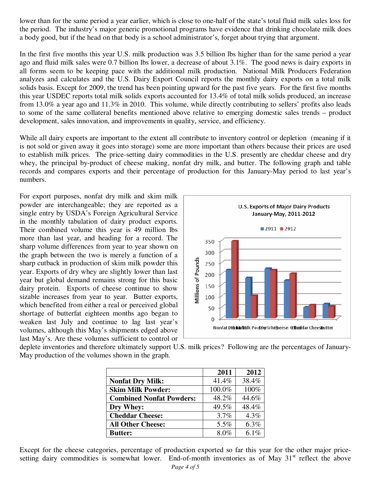lower than for the same period a year earlier, which is close to one-half of the state's total fluid milk sales loss for the period. The industry's major generic promotional programs have evidence that drinking chocolate milk does a body good, but if the head on that body is a school administrator's, forget about trying that argument.

In the first five months this year U.S. milk production was 3.5 billion lbs higher than for the same period a year ago and fluid milk sales were 0.7 billion lbs lower, a decrease of about 3.1%. The good news is dairy exports in all forms seem to be keeping pace with the additional milk production. National Milk Producers Federation analyzes and calculates and the U.S. Dairy Export Council reports the monthly dairy exports on a total milk solids basis. Except for 2009, the trend has been pointing upward for the past five years. For the first five months this year USDEC reports total milk solids exports accounted for 13.4% of total milk solids produced, an increase from 13.0% a year ago and 11.3% in 2010. This volume, while directly contributing to sellers' profits also leads to some of the same collateral benefits mentioned above relative to emerging domestic sales trends – product development, sales innovation, and improvements in quality, service, and efficiency.

While all dairy exports are important to the extent all contribute to inventory control or depletion (meaning if it is not sold or given away it goes into storage) some are more important than others because their prices are used to establish milk prices. The price-setting dairy commodities in the U.S. presently are cheddar cheese and dry whey, the principal by-product of cheese making, nonfat dry milk, and butter. The following graph and table records and compares exports and their percentage of production for this January-May period to last year's numbers.

For export purposes, nonfat dry milk and skim milk powder are interchangeable; they are reported as a single entry by USDA's Foreign Agricultural Service in the monthly tabulation of dairy product exports. Their combined volume this year is 49 million lbs more than last year, and heading for a record. The sharp volume differences from year to year shown on the graph between the two is merely a function of a sharp cutback in production of skim milk powder this year. Exports of dry whey are slightly lower than last year but global demand remains strong for this basic dairy protein. Exports of cheese continue to show sizable increases from year to year. Butter exports, which benefited from either a real or perceived global shortage of butterfat eighteen months ago began to weaken last July and continue to lag last year's volumes, although this May's shipments edged above last May's. Are these volumes sufficient to control or



deplete inventories and therefore ultimately support U.S. milk prices? Following are the percentages of January-May production of the volumes shown in the graph.

|                                 | 2011   | 2012    |
|---------------------------------|--------|---------|
| <b>Nonfat Dry Milk:</b>         | 41.4%  | 38.4%   |
| <b>Skim Milk Powder:</b>        | 100.0% | 100%    |
| <b>Combined Nonfat Powders:</b> | 48.2%  | 44.6%   |
| Dry Whey:                       | 49.5%  | 48.4%   |
| <b>Cheddar Cheese:</b>          | 3.7%   | 4.3%    |
| <b>All Other Cheese:</b>        | 5.5%   | $6.3\%$ |
| <b>Butter:</b>                  | 8.0%   | 6.1%    |

Except for the cheese categories, percentage of production exported so far this year for the other major pricesetting dairy commodities is somewhat lower. End-of-month inventories as of May  $31<sup>st</sup>$  reflect the above